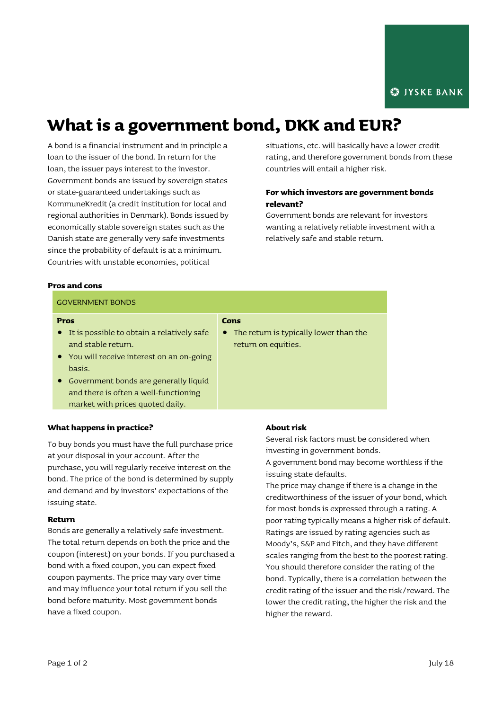# **What is a government bond, DKK and EUR?**

A bond is a financial instrument and in principle a loan to the issuer of the bond. In return for the loan, the issuer pays interest to the investor. Government bonds are issued by sovereign states or state-guaranteed undertakings such as KommuneKredit (a credit institution for local and regional authorities in Denmark). Bonds issued by economically stable sovereign states such as the Danish state are generally very safe investments since the probability of default is at a minimum. Countries with unstable economies, political

situations, etc. will basically have a lower credit rating, and therefore government bonds from these countries will entail a higher risk.

## **For which investors are government bonds relevant?**

Government bonds are relevant for investors wanting a relatively reliable investment with a relatively safe and stable return.

#### **Pros and cons**

#### GOVERNMENT BONDS

#### **Pros**

 It is possible to obtain a relatively safe and stable return.

## **Cons**

- The return is typically lower than the return on equities.
- You will receive interest on an on-going basis.
- Government bonds are generally liquid and there is often a well-functioning market with prices quoted daily.

### **What happens in practice?**

To buy bonds you must have the full purchase price at your disposal in your account. After the purchase, you will regularly receive interest on the bond. The price of the bond is determined by supply and demand and by investors' expectations of the issuing state.

#### **Return**

Bonds are generally a relatively safe investment. The total return depends on both the price and the coupon (interest) on your bonds. If you purchased a bond with a fixed coupon, you can expect fixed coupon payments. The price may vary over time and may influence your total return if you sell the bond before maturity. Most government bonds have a fixed coupon.

#### **About risk**

Several risk factors must be considered when investing in government bonds.

A government bond may become worthless if the issuing state defaults.

The price may change if there is a change in the creditworthiness of the issuer of your bond, which for most bonds is expressed through a rating. A poor rating typically means a higher risk of default. Ratings are issued by rating agencies such as Moody's, S&P and Fitch, and they have different scales ranging from the best to the poorest rating. You should therefore consider the rating of the bond. Typically, there is a correlation between the credit rating of the issuer and the risk/reward. The lower the credit rating, the higher the risk and the higher the reward.